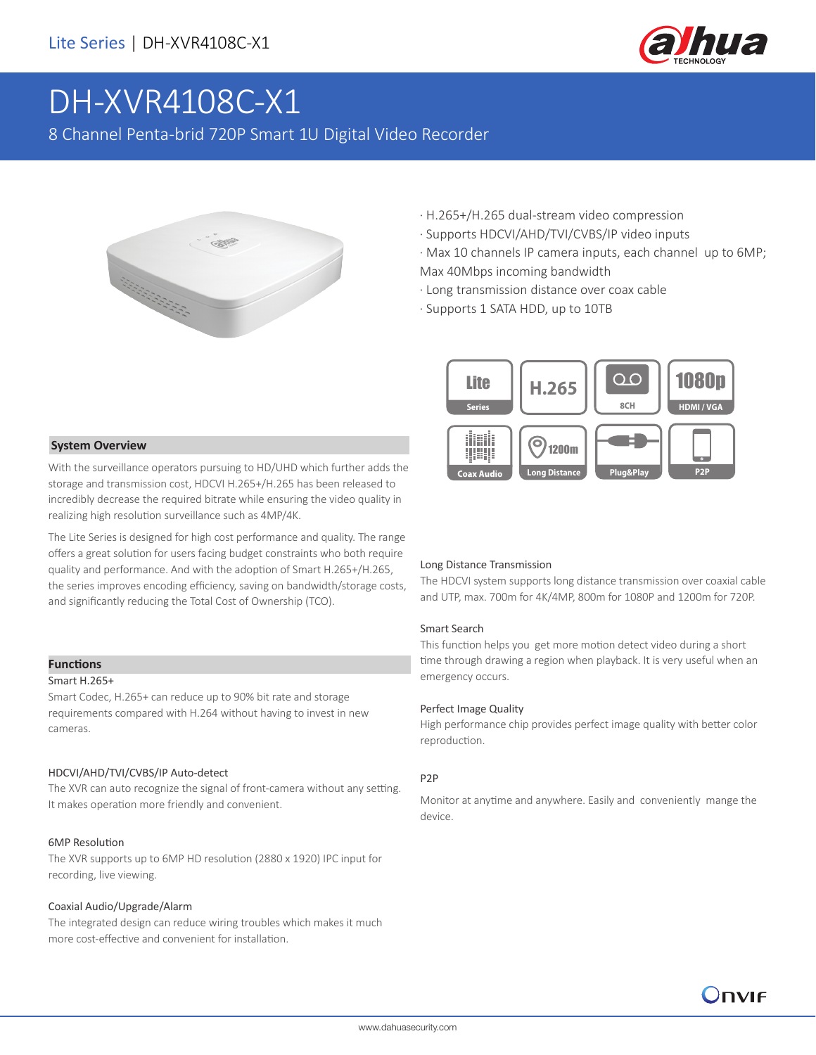

# DH-XVR4108C-X1

8 Channel Penta-brid 720P Smart 1U Digital Video Recorder



- · H.265+/H.265 dual-stream video compression
- · Supports HDCVI/AHD/TVI/CVBS/IP video inputs
- · Max 10 channels IP camera inputs, each channel up to 6MP; Max 40Mbps incoming bandwidth
- · Long transmission distance over coax cable
- · Supports 1 SATA HDD, up to 10TB



With the surveillance operators pursuing to HD/UHD which further adds the storage and transmission cost, HDCVI H.265+/H.265 has been released to incredibly decrease the required bitrate while ensuring the video quality in realizing high resolution surveillance such as 4MP/4K.

The Lite Series is designed for high cost performance and quality. The range offers a great solution for users facing budget constraints who both require quality and performance. And with the adoption of Smart H.265+/H.265, the series improves encoding efficiency, saving on bandwidth/storage costs, and significantly reducing the Total Cost of Ownership (TCO).

#### **Functions**

#### Smart H.265+

Smart Codec, H.265+ can reduce up to 90% bit rate and storage requirements compared with H.264 without having to invest in new cameras.

#### HDCVI/AHD/TVI/CVBS/IP Auto-detect

The XVR can auto recognize the signal of front-camera without any setting. It makes operation more friendly and convenient.

#### 6MP Resolution

The XVR supports up to 6MP HD resolution (2880 x 1920) IPC input for recording, live viewing.

#### Coaxial Audio/Upgrade/Alarm

The integrated design can reduce wiring troubles which makes it much more cost-effective and convenient for installation.

#### Long Distance Transmission

The HDCVI system supports long distance transmission over coaxial cable and UTP, max. 700m for 4K/4MP, 800m for 1080P and 1200m for 720P.

#### Smart Search

This function helps you get more motion detect video during a short time through drawing a region when playback. It is very useful when an emergency occurs.

#### Perfect Image Quality

High performance chip provides perfect image quality with better color reproduction.

#### P2P

Monitor at anytime and anywhere. Easily and conveniently mange the device.

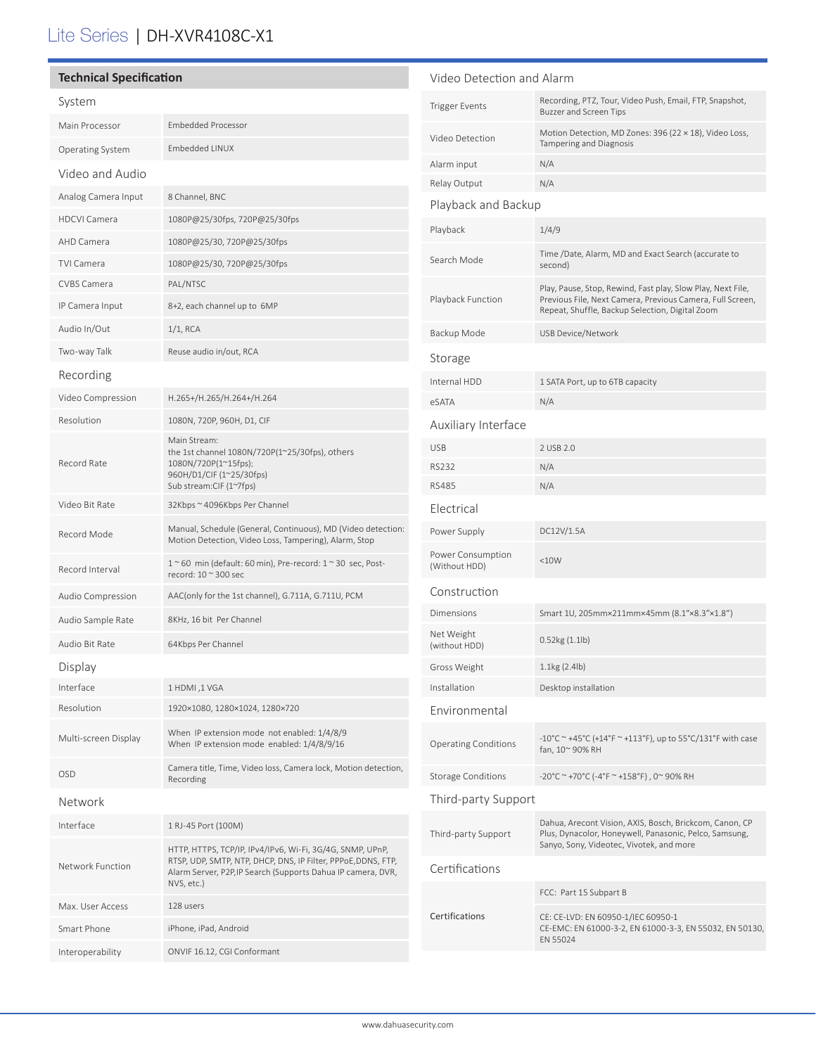## Lite Series | DH-XVR4108C-X1

| <b>Technical Specification</b> |                                                                                                                                                                                                          | Video Detection and Alarm          |                                                                                                                                                                             |
|--------------------------------|----------------------------------------------------------------------------------------------------------------------------------------------------------------------------------------------------------|------------------------------------|-----------------------------------------------------------------------------------------------------------------------------------------------------------------------------|
| System                         |                                                                                                                                                                                                          | <b>Trigger Events</b>              | Recording, PTZ, Tour, Video Push, Email, FTP, Snapshot,<br>Buzzer and Screen Tips                                                                                           |
| Main Processor                 | <b>Embedded Processor</b>                                                                                                                                                                                | Video Detection                    | Motion Detection, MD Zones: 396 (22 × 18), Video Loss,                                                                                                                      |
| <b>Operating System</b>        | Embedded LINUX                                                                                                                                                                                           |                                    | <b>Tampering and Diagnosis</b>                                                                                                                                              |
| Video and Audio                |                                                                                                                                                                                                          | Alarm input<br>Relay Output        | N/A<br>N/A                                                                                                                                                                  |
| Analog Camera Input            | 8 Channel, BNC                                                                                                                                                                                           | Playback and Backup                |                                                                                                                                                                             |
| <b>HDCVI Camera</b>            | 1080P@25/30fps, 720P@25/30fps                                                                                                                                                                            |                                    |                                                                                                                                                                             |
| AHD Camera                     | 1080P@25/30, 720P@25/30fps                                                                                                                                                                               | Playback                           | 1/4/9                                                                                                                                                                       |
| <b>TVI Camera</b>              | 1080P@25/30, 720P@25/30fps                                                                                                                                                                               | Search Mode                        | Time /Date, Alarm, MD and Exact Search (accurate to<br>second)                                                                                                              |
| CVBS Camera                    | PAL/NTSC                                                                                                                                                                                                 | Playback Function                  | Play, Pause, Stop, Rewind, Fast play, Slow Play, Next File,<br>Previous File, Next Camera, Previous Camera, Full Screen,<br>Repeat, Shuffle, Backup Selection, Digital Zoom |
| IP Camera Input                | 8+2, each channel up to 6MP                                                                                                                                                                              |                                    |                                                                                                                                                                             |
| Audio In/Out                   | $1/1$ , RCA                                                                                                                                                                                              | Backup Mode                        | USB Device/Network                                                                                                                                                          |
| Two-way Talk                   | Reuse audio in/out, RCA                                                                                                                                                                                  | Storage                            |                                                                                                                                                                             |
| Recording                      |                                                                                                                                                                                                          | Internal HDD                       | 1 SATA Port, up to 6TB capacity                                                                                                                                             |
| Video Compression              | H.265+/H.265/H.264+/H.264                                                                                                                                                                                | eSATA                              | N/A                                                                                                                                                                         |
| Resolution                     | 1080N, 720P, 960H, D1, CIF                                                                                                                                                                               | Auxiliary Interface                |                                                                                                                                                                             |
|                                | Main Stream:<br>the 1st channel 1080N/720P(1~25/30fps), others<br>1080N/720P(1~15fps);                                                                                                                   | <b>USB</b>                         | 2 USB 2.0                                                                                                                                                                   |
| Record Rate                    |                                                                                                                                                                                                          | <b>RS232</b>                       | N/A                                                                                                                                                                         |
|                                | 960H/D1/CIF (1~25/30fps)<br>Sub stream:CIF (1~7fps)                                                                                                                                                      | <b>RS485</b>                       | N/A                                                                                                                                                                         |
| Video Bit Rate                 | 32Kbps ~ 4096Kbps Per Channel                                                                                                                                                                            | Electrical                         |                                                                                                                                                                             |
| Record Mode                    | Manual, Schedule (General, Continuous), MD (Video detection:<br>Motion Detection, Video Loss, Tampering), Alarm, Stop                                                                                    | Power Supply                       | DC12V/1.5A                                                                                                                                                                  |
| Record Interval                | $1~$ ~60 min (default: 60 min), Pre-record: $1~$ ~30 sec, Post-<br>record: $10 \approx 300$ sec                                                                                                          | Power Consumption<br>(Without HDD) | <10W                                                                                                                                                                        |
| Audio Compression              | AAC(only for the 1st channel), G.711A, G.711U, PCM                                                                                                                                                       | Construction                       |                                                                                                                                                                             |
| Audio Sample Rate              | 8KHz, 16 bit Per Channel                                                                                                                                                                                 | Dimensions                         | Smart 1U, 205mm×211mm×45mm (8.1"×8.3"×1.8")                                                                                                                                 |
| Audio Bit Rate                 | 64Kbps Per Channel                                                                                                                                                                                       | Net Weight<br>(without HDD)        | 0.52kg(1.1lb)                                                                                                                                                               |
| Display                        |                                                                                                                                                                                                          | Gross Weight                       | 1.1kg(2.4lb)                                                                                                                                                                |
| Interface                      | 1 HDMI, 1 VGA                                                                                                                                                                                            | Installation                       | Desktop installation                                                                                                                                                        |
| Resolution                     | 1920×1080, 1280×1024, 1280×720                                                                                                                                                                           | Environmental                      |                                                                                                                                                                             |
| Multi-screen Display           | When IP extension mode not enabled: 1/4/8/9<br>When IP extension mode enabled: 1/4/8/9/16                                                                                                                | <b>Operating Conditions</b>        | $-10^{\circ}$ C ~ +45°C (+14°F ~ +113°F), up to 55°C/131°F with case<br>fan, 10~90% RH                                                                                      |
| OSD                            | Camera title, Time, Video loss, Camera lock, Motion detection,<br>Recording                                                                                                                              | <b>Storage Conditions</b>          | -20°C ~ +70°C (-4°F ~ +158°F), 0~90% RH                                                                                                                                     |
| Network                        |                                                                                                                                                                                                          | Third-party Support                |                                                                                                                                                                             |
| Interface                      | 1 RJ-45 Port (100M)                                                                                                                                                                                      |                                    | Dahua, Arecont Vision, AXIS, Bosch, Brickcom, Canon, CP                                                                                                                     |
| Network Function               | HTTP, HTTPS, TCP/IP, IPv4/IPv6, Wi-Fi, 3G/4G, SNMP, UPnP,<br>RTSP, UDP, SMTP, NTP, DHCP, DNS, IP Filter, PPPoE, DDNS, FTP,<br>Alarm Server, P2P, IP Search (Supports Dahua IP camera, DVR,<br>NVS, etc.) | Third-party Support                | Plus, Dynacolor, Honeywell, Panasonic, Pelco, Samsung,<br>Sanyo, Sony, Videotec, Vivotek, and more                                                                          |
|                                |                                                                                                                                                                                                          | Certifications                     |                                                                                                                                                                             |
| Max. User Access               | 128 users                                                                                                                                                                                                |                                    | FCC: Part 15 Subpart B                                                                                                                                                      |
| Smart Phone                    | iPhone, iPad, Android                                                                                                                                                                                    | Certifications                     | CE: CE-LVD: EN 60950-1/IEC 60950-1<br>CE-EMC: EN 61000-3-2, EN 61000-3-3, EN 55032, EN 50130,                                                                               |
| Interoperability               | ONVIF 16.12, CGI Conformant                                                                                                                                                                              |                                    | EN 55024                                                                                                                                                                    |